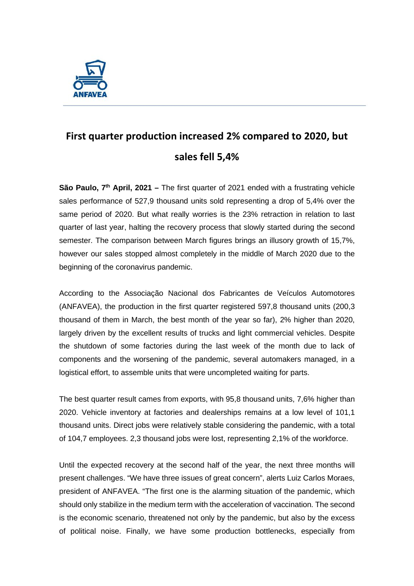

## **First quarter production increased 2% compared to 2020, but sales fell 5,4%**

**São Paulo, 7th April, 2021 –** The first quarter of 2021 ended with a frustrating vehicle sales performance of 527,9 thousand units sold representing a drop of 5,4% over the same period of 2020. But what really worries is the 23% retraction in relation to last quarter of last year, halting the recovery process that slowly started during the second semester. The comparison between March figures brings an illusory growth of 15,7%, however our sales stopped almost completely in the middle of March 2020 due to the beginning of the coronavirus pandemic.

According to the Associação Nacional dos Fabricantes de Veículos Automotores (ANFAVEA), the production in the first quarter registered 597,8 thousand units (200,3 thousand of them in March, the best month of the year so far), 2% higher than 2020, largely driven by the excellent results of trucks and light commercial vehicles. Despite the shutdown of some factories during the last week of the month due to lack of components and the worsening of the pandemic, several automakers managed, in a logistical effort, to assemble units that were uncompleted waiting for parts.

The best quarter result cames from exports, with 95,8 thousand units, 7,6% higher than 2020. Vehicle inventory at factories and dealerships remains at a low level of 101,1 thousand units. Direct jobs were relatively stable considering the pandemic, with a total of 104,7 employees. 2,3 thousand jobs were lost, representing 2,1% of the workforce.

Until the expected recovery at the second half of the year, the next three months will present challenges. "We have three issues of great concern", alerts Luiz Carlos Moraes, president of ANFAVEA. "The first one is the alarming situation of the pandemic, which should only stabilize in the medium term with the acceleration of vaccination. The second is the economic scenario, threatened not only by the pandemic, but also by the excess of political noise. Finally, we have some production bottlenecks, especially from